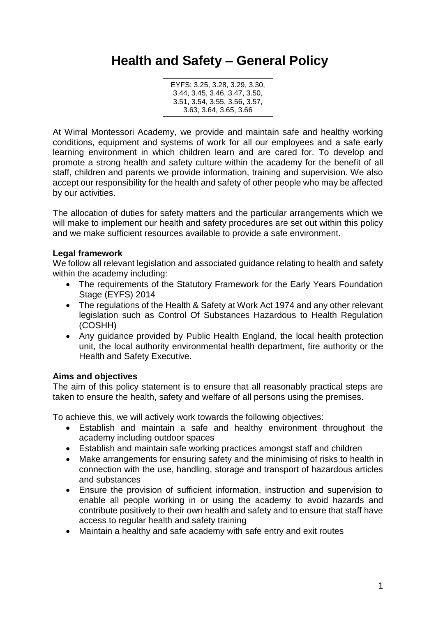# **Health and Safety – General Policy**

EYFS: 3.25, 3.28, 3.29, 3.30, 3.44, 3.45, 3.46, 3.47, 3.50, 3.51, 3.54, 3.55, 3.56, 3.57, 3.63, 3.64, 3.65, 3.66

At Wirral Montessori Academy, we provide and maintain safe and healthy working conditions, equipment and systems of work for all our employees and a safe early learning environment in which children learn and are cared for. To develop and promote a strong health and safety culture within the academy for the benefit of all staff, children and parents we provide information, training and supervision. We also accept our responsibility for the health and safety of other people who may be affected by our activities.

The allocation of duties for safety matters and the particular arrangements which we will make to implement our health and safety procedures are set out within this policy and we make sufficient resources available to provide a safe environment.

## **Legal framework**

We follow all relevant legislation and associated guidance relating to health and safety within the academy including:

- The requirements of the Statutory Framework for the Early Years Foundation Stage (EYFS) 2014
- The regulations of the Health & Safety at Work Act 1974 and any other relevant legislation such as Control Of Substances Hazardous to Health Regulation (COSHH)
- Any guidance provided by Public Health England, the local health protection unit, the local authority environmental health department, fire authority or the Health and Safety Executive.

# **Aims and objectives**

The aim of this policy statement is to ensure that all reasonably practical steps are taken to ensure the health, safety and welfare of all persons using the premises.

To achieve this, we will actively work towards the following objectives:

- Establish and maintain a safe and healthy environment throughout the academy including outdoor spaces
- Establish and maintain safe working practices amongst staff and children
- Make arrangements for ensuring safety and the minimising of risks to health in connection with the use, handling, storage and transport of hazardous articles and substances
- Ensure the provision of sufficient information, instruction and supervision to enable all people working in or using the academy to avoid hazards and contribute positively to their own health and safety and to ensure that staff have access to regular health and safety training
- Maintain a healthy and safe academy with safe entry and exit routes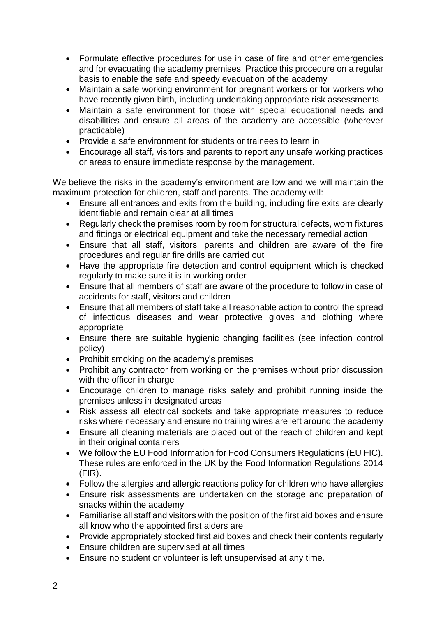- Formulate effective procedures for use in case of fire and other emergencies and for evacuating the academy premises. Practice this procedure on a regular basis to enable the safe and speedy evacuation of the academy
- Maintain a safe working environment for pregnant workers or for workers who have recently given birth, including undertaking appropriate risk assessments
- Maintain a safe environment for those with special educational needs and disabilities and ensure all areas of the academy are accessible (wherever practicable)
- Provide a safe environment for students or trainees to learn in
- Encourage all staff, visitors and parents to report any unsafe working practices or areas to ensure immediate response by the management.

We believe the risks in the academy's environment are low and we will maintain the maximum protection for children, staff and parents. The academy will:

- Ensure all entrances and exits from the building, including fire exits are clearly identifiable and remain clear at all times
- Regularly check the premises room by room for structural defects, worn fixtures and fittings or electrical equipment and take the necessary remedial action
- Ensure that all staff, visitors, parents and children are aware of the fire procedures and regular fire drills are carried out
- Have the appropriate fire detection and control equipment which is checked regularly to make sure it is in working order
- Ensure that all members of staff are aware of the procedure to follow in case of accidents for staff, visitors and children
- Ensure that all members of staff take all reasonable action to control the spread of infectious diseases and wear protective gloves and clothing where appropriate
- Ensure there are suitable hygienic changing facilities (see infection control policy)
- Prohibit smoking on the academy's premises
- Prohibit any contractor from working on the premises without prior discussion with the officer in charge
- Encourage children to manage risks safely and prohibit running inside the premises unless in designated areas
- Risk assess all electrical sockets and take appropriate measures to reduce risks where necessary and ensure no trailing wires are left around the academy
- Ensure all cleaning materials are placed out of the reach of children and kept in their original containers
- We follow the EU Food Information for Food Consumers Regulations (EU FIC). These rules are enforced in the UK by the Food Information Regulations 2014 (FIR).
- Follow the allergies and allergic reactions policy for children who have allergies
- Ensure risk assessments are undertaken on the storage and preparation of snacks within the academy
- Familiarise all staff and visitors with the position of the first aid boxes and ensure all know who the appointed first aiders are
- Provide appropriately stocked first aid boxes and check their contents regularly
- Ensure children are supervised at all times
- Ensure no student or volunteer is left unsupervised at any time.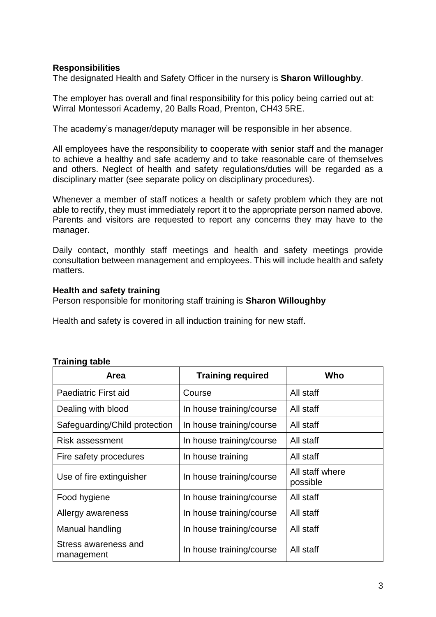### **Responsibilities**

The designated Health and Safety Officer in the nursery is **Sharon Willoughby**.

The employer has overall and final responsibility for this policy being carried out at: Wirral Montessori Academy, 20 Balls Road, Prenton, CH43 5RE.

The academy's manager/deputy manager will be responsible in her absence.

All employees have the responsibility to cooperate with senior staff and the manager to achieve a healthy and safe academy and to take reasonable care of themselves and others. Neglect of health and safety regulations/duties will be regarded as a disciplinary matter (see separate policy on disciplinary procedures).

Whenever a member of staff notices a health or safety problem which they are not able to rectify, they must immediately report it to the appropriate person named above. Parents and visitors are requested to report any concerns they may have to the manager.

Daily contact, monthly staff meetings and health and safety meetings provide consultation between management and employees. This will include health and safety matters.

#### **Health and safety training**

Person responsible for monitoring staff training is **Sharon Willoughby**

Health and safety is covered in all induction training for new staff.

| Area                               | <b>Training required</b> | Who                         |
|------------------------------------|--------------------------|-----------------------------|
| Paediatric First aid               | Course                   | All staff                   |
| Dealing with blood                 | In house training/course | All staff                   |
| Safeguarding/Child protection      | In house training/course | All staff                   |
| Risk assessment                    | In house training/course | All staff                   |
| Fire safety procedures             | In house training        | All staff                   |
| Use of fire extinguisher           | In house training/course | All staff where<br>possible |
| Food hygiene                       | In house training/course | All staff                   |
| Allergy awareness                  | In house training/course | All staff                   |
| Manual handling                    | In house training/course | All staff                   |
| Stress awareness and<br>management | In house training/course | All staff                   |

#### **Training table**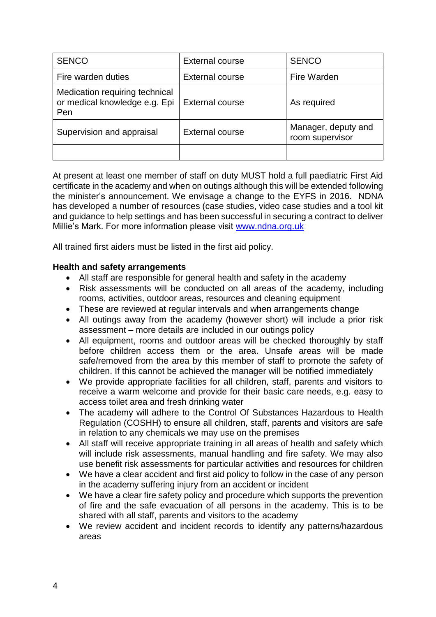| <b>SENCO</b>                                                           | <b>External course</b> | <b>SENCO</b>                           |
|------------------------------------------------------------------------|------------------------|----------------------------------------|
| Fire warden duties                                                     | <b>External course</b> | Fire Warden                            |
| Medication requiring technical<br>or medical knowledge e.g. Epi<br>Pen | <b>External course</b> | As required                            |
| Supervision and appraisal                                              | <b>External course</b> | Manager, deputy and<br>room supervisor |
|                                                                        |                        |                                        |

At present at least one member of staff on duty MUST hold a full paediatric First Aid certificate in the academy and when on outings although this will be extended following the minister's announcement. We envisage a change to the EYFS in 2016. NDNA has developed a number of resources (case studies, video case studies and a tool kit and guidance to help settings and has been successful in securing a contract to deliver Millie's Mark. For more information please visit www.ndna.org.uk

All trained first aiders must be listed in the first aid policy.

## **Health and safety arrangements**

- All staff are responsible for general health and safety in the academy
- Risk assessments will be conducted on all areas of the academy, including rooms, activities, outdoor areas, resources and cleaning equipment
- These are reviewed at regular intervals and when arrangements change
- All outings away from the academy (however short) will include a prior risk assessment – more details are included in our outings policy
- All equipment, rooms and outdoor areas will be checked thoroughly by staff before children access them or the area. Unsafe areas will be made safe/removed from the area by this member of staff to promote the safety of children. If this cannot be achieved the manager will be notified immediately
- We provide appropriate facilities for all children, staff, parents and visitors to receive a warm welcome and provide for their basic care needs, e.g. easy to access toilet area and fresh drinking water
- The academy will adhere to the Control Of Substances Hazardous to Health Regulation (COSHH) to ensure all children, staff, parents and visitors are safe in relation to any chemicals we may use on the premises
- All staff will receive appropriate training in all areas of health and safety which will include risk assessments, manual handling and fire safety. We may also use benefit risk assessments for particular activities and resources for children
- We have a clear accident and first aid policy to follow in the case of any person in the academy suffering injury from an accident or incident
- We have a clear fire safety policy and procedure which supports the prevention of fire and the safe evacuation of all persons in the academy. This is to be shared with all staff, parents and visitors to the academy
- We review accident and incident records to identify any patterns/hazardous areas